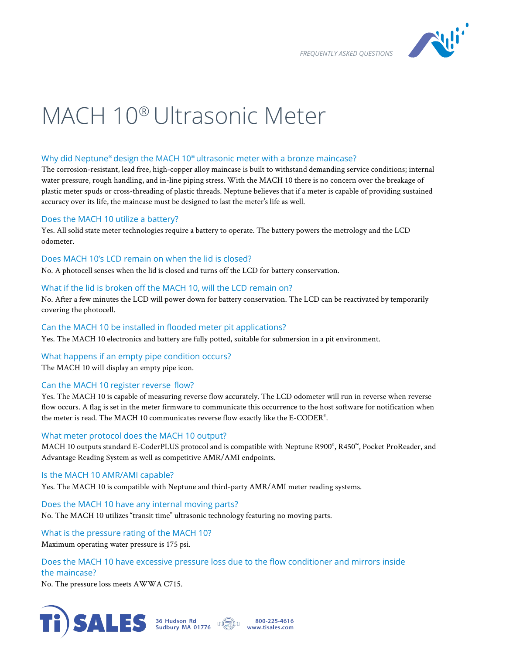*FREQUENTLY ASKED QUESTIONS* 



# MACH 10® Ultrasonic Meter

## Why did Neptune® design the MACH 10® ultrasonic meter with a bronze maincase?

The corrosion-resistant, lead free, high-copper alloy maincase is built to withstand demanding service conditions; internal water pressure, rough handling, and in-line piping stress. With the MACH 10 there is no concern over the breakage of plastic meter spuds or cross-threading of plastic threads. Neptune believes that if a meter is capable of providing sustained accuracy over its life, the maincase must be designed to last the meter's life as well.

## Does the MACH 10 utilize a battery?

Yes. All solid state meter technologies require a battery to operate. The battery powers the metrology and the LCD odometer.

## Does MACH 10's LCD remain on when the lid is closed?

No. A photocell senses when the lid is closed and turns off the LCD for battery conservation.

## What if the lid is broken off the MACH 10, will the LCD remain on?

No. After a few minutes the LCD will power down for battery conservation. The LCD can be reactivated by temporarily covering the photocell.

## Can the MACH 10 be installed in flooded meter pit applications?

Yes. The MACH 10 electronics and battery are fully potted, suitable for submersion in a pit environment.

## What happens if an empty pipe condition occurs?

The MACH 10 will display an empty pipe icon.

# Can the MACH 10 register reverse flow?

Yes. The MACH 10 is capable of measuring reverse flow accurately. The LCD odometer will run in reverse when reverse flow occurs. A flag is set in the meter firmware to communicate this occurrence to the host software for notification when the meter is read. The MACH 10 communicates reverse flow exactly like the E-CODER® .

## What meter protocol does the MACH 10 output?

MACH 10 outputs standard E-CoderPLUS protocol and is compatible with Neptune R900®, R450™, Pocket ProReader, and Advantage Reading System as well as competitive AMR/AMI endpoints.

## Is the MACH 10 AMR/AMI capable?

Yes. The MACH 10 is compatible with Neptune and third-party AMR/AMI meter reading systems.

Does the MACH 10 have any internal moving parts?

No. The MACH 10 utilizes "transit time" ultrasonic technology featuring no moving parts.

What is the pressure rating of the MACH 10? Maximum operating water pressure is 175 psi.

# Does the MACH 10 have excessive pressure loss due to the flow conditioner and mirrors inside the maincase?

No. The pressure loss meets AWWA C715.